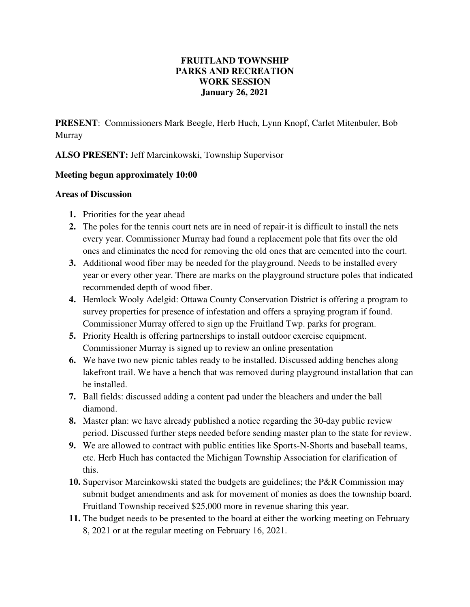## **FRUITLAND TOWNSHIP PARKS AND RECREATION WORK SESSION January 26, 2021**

**PRESENT**: Commissioners Mark Beegle, Herb Huch, Lynn Knopf, Carlet Mitenbuler, Bob Murray

**ALSO PRESENT:** Jeff Marcinkowski, Township Supervisor

## **Meeting begun approximately 10:00**

## **Areas of Discussion**

- **1.** Priorities for the year ahead
- **2.** The poles for the tennis court nets are in need of repair-it is difficult to install the nets every year. Commissioner Murray had found a replacement pole that fits over the old ones and eliminates the need for removing the old ones that are cemented into the court.
- **3.** Additional wood fiber may be needed for the playground. Needs to be installed every year or every other year. There are marks on the playground structure poles that indicated recommended depth of wood fiber.
- **4.** Hemlock Wooly Adelgid: Ottawa County Conservation District is offering a program to survey properties for presence of infestation and offers a spraying program if found. Commissioner Murray offered to sign up the Fruitland Twp. parks for program.
- **5.** Priority Health is offering partnerships to install outdoor exercise equipment. Commissioner Murray is signed up to review an online presentation
- **6.** We have two new picnic tables ready to be installed. Discussed adding benches along lakefront trail. We have a bench that was removed during playground installation that can be installed.
- **7.** Ball fields: discussed adding a content pad under the bleachers and under the ball diamond.
- **8.** Master plan: we have already published a notice regarding the 30-day public review period. Discussed further steps needed before sending master plan to the state for review.
- **9.** We are allowed to contract with public entities like Sports-N-Shorts and baseball teams, etc. Herb Huch has contacted the Michigan Township Association for clarification of this.
- **10.** Supervisor Marcinkowski stated the budgets are guidelines; the P&R Commission may submit budget amendments and ask for movement of monies as does the township board. Fruitland Township received \$25,000 more in revenue sharing this year.
- **11.** The budget needs to be presented to the board at either the working meeting on February 8, 2021 or at the regular meeting on February 16, 2021.